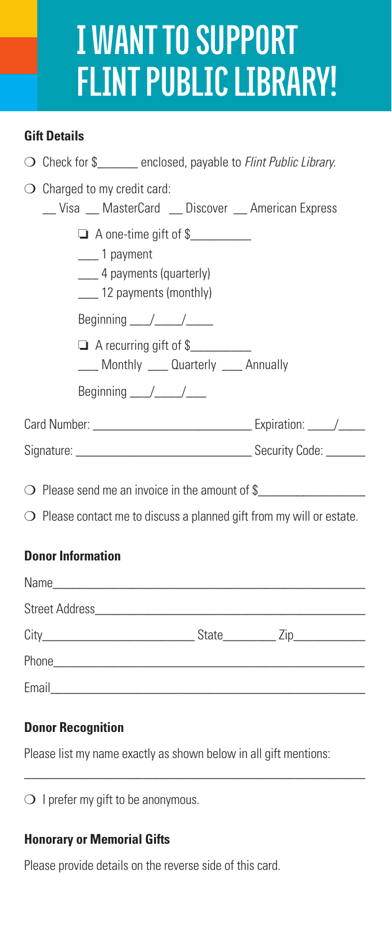## **I Want to Support Flint Public Library!**

#### **Gift Details**

| $\bigcirc$ Check for \$______ enclosed, payable to Flint Public Library.                                                          |  |  |  |  |
|-----------------------------------------------------------------------------------------------------------------------------------|--|--|--|--|
| $\bigcirc$ Charged to my credit card:<br>__Visa __ MasterCard __ Discover __ American Express                                     |  |  |  |  |
| A one-time gift of \$<br>____ 1 payment<br>____ 4 payments (quarterly)<br>___ 12 payments (monthly)                               |  |  |  |  |
| Beginning $\angle$                                                                                                                |  |  |  |  |
| A recurring gift of \$<br>___ Monthly ___ Quarterly ___ Annually                                                                  |  |  |  |  |
| Beginning $\angle$                                                                                                                |  |  |  |  |
|                                                                                                                                   |  |  |  |  |
|                                                                                                                                   |  |  |  |  |
| O Please send me an invoice in the amount of \$<br>$\bigcirc$ Please contact me to discuss a planned gift from my will or estate. |  |  |  |  |
| <b>Donor Information</b>                                                                                                          |  |  |  |  |

| Email<br><u> 1980 - Johann John Stein, marwolaethau (b. 1980)</u> |  |  |
|-------------------------------------------------------------------|--|--|

#### **Donor Recognition**

Please list my name exactly as shown below in all gift mentions:

 $\_$  ,  $\_$  ,  $\_$  ,  $\_$  ,  $\_$  ,  $\_$  ,  $\_$  ,  $\_$  ,  $\_$  ,  $\_$  ,  $\_$  ,  $\_$  ,  $\_$  ,  $\_$  ,  $\_$  ,  $\_$  ,  $\_$ 

 $\bigcirc$  I prefer my gift to be anonymous.

#### **Honorary or Memorial Gifts**

Please provide details on the reverse side of this card.